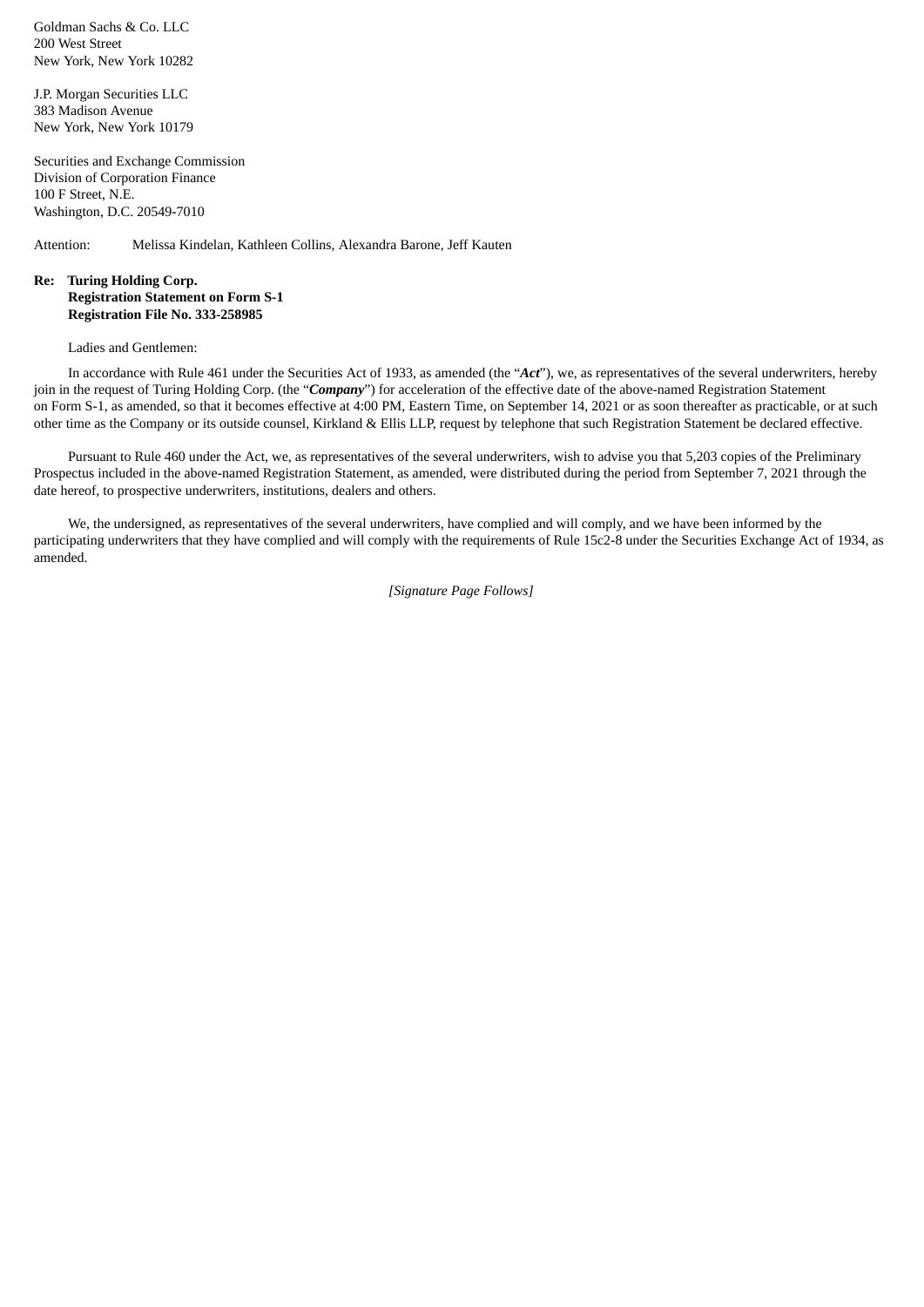Goldman Sachs & Co. LLC 200 West Street New York, New York 10282

J.P. Morgan Securities LLC 383 Madison Avenue New York, New York 10179

Securities and Exchange Commission Division of Corporation Finance 100 F Street, N.E. Washington, D.C. 20549-7010

Attention: Melissa Kindelan, Kathleen Collins, Alexandra Barone, Jeff Kauten

## **Re: Turing Holding Corp. Registration Statement on Form S-1 Registration File No. 333-258985**

Ladies and Gentlemen:

In accordance with Rule 461 under the Securities Act of 1933, as amended (the "*Act*"), we, as representatives of the several underwriters, hereby join in the request of Turing Holding Corp. (the "*Company*") for acceleration of the effective date of the above-named Registration Statement on Form S-1, as amended, so that it becomes effective at 4:00 PM, Eastern Time, on September 14, 2021 or as soon thereafter as practicable, or at such other time as the Company or its outside counsel, Kirkland & Ellis LLP, request by telephone that such Registration Statement be declared effective.

Pursuant to Rule 460 under the Act, we, as representatives of the several underwriters, wish to advise you that 5,203 copies of the Preliminary Prospectus included in the above-named Registration Statement, as amended, were distributed during the period from September 7, 2021 through the date hereof, to prospective underwriters, institutions, dealers and others.

We, the undersigned, as representatives of the several underwriters, have complied and will comply, and we have been informed by the participating underwriters that they have complied and will comply with the requirements of Rule 15c2-8 under the Securities Exchange Act of 1934, as amended.

*[Signature Page Follows]*